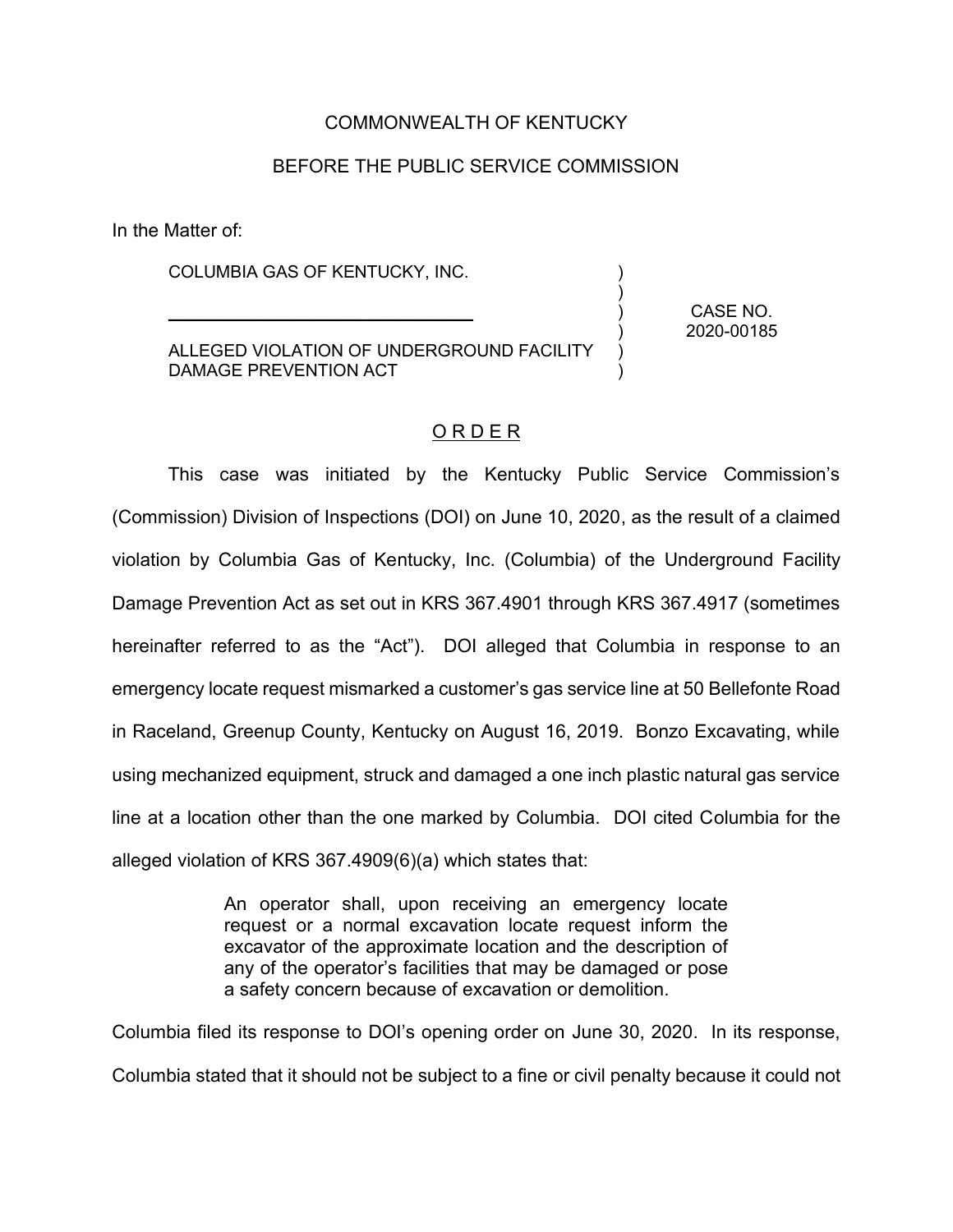## COMMONWEALTH OF KENTUCKY

## BEFORE THE PUBLIC SERVICE COMMISSION

In the Matter of:

COLUMBIA GAS OF KENTUCKY, INC.

 $\mathcal{L}_\text{max}$  and  $\mathcal{L}_\text{max}$  and  $\mathcal{L}_\text{max}$  and  $\mathcal{L}_\text{max}$ 

ALLEGED VIOLATION OF UNDERGROUND FACILITY DAMAGE PREVENTION ACT

CASE NO. 2020-00185

) ) ) ) ) )

## O R D E R

This case was initiated by the Kentucky Public Service Commission's (Commission) Division of Inspections (DOI) on June 10, 2020, as the result of a claimed violation by Columbia Gas of Kentucky, Inc. (Columbia) of the Underground Facility Damage Prevention Act as set out in KRS 367.4901 through KRS 367.4917 (sometimes hereinafter referred to as the "Act"). DOI alleged that Columbia in response to an emergency locate request mismarked a customer's gas service line at 50 Bellefonte Road in Raceland, Greenup County, Kentucky on August 16, 2019. Bonzo Excavating, while using mechanized equipment, struck and damaged a one inch plastic natural gas service line at a location other than the one marked by Columbia. DOI cited Columbia for the alleged violation of KRS 367.4909(6)(a) which states that:

> An operator shall, upon receiving an emergency locate request or a normal excavation locate request inform the excavator of the approximate location and the description of any of the operator's facilities that may be damaged or pose a safety concern because of excavation or demolition.

Columbia filed its response to DOI's opening order on June 30, 2020. In its response, Columbia stated that it should not be subject to a fine or civil penalty because it could not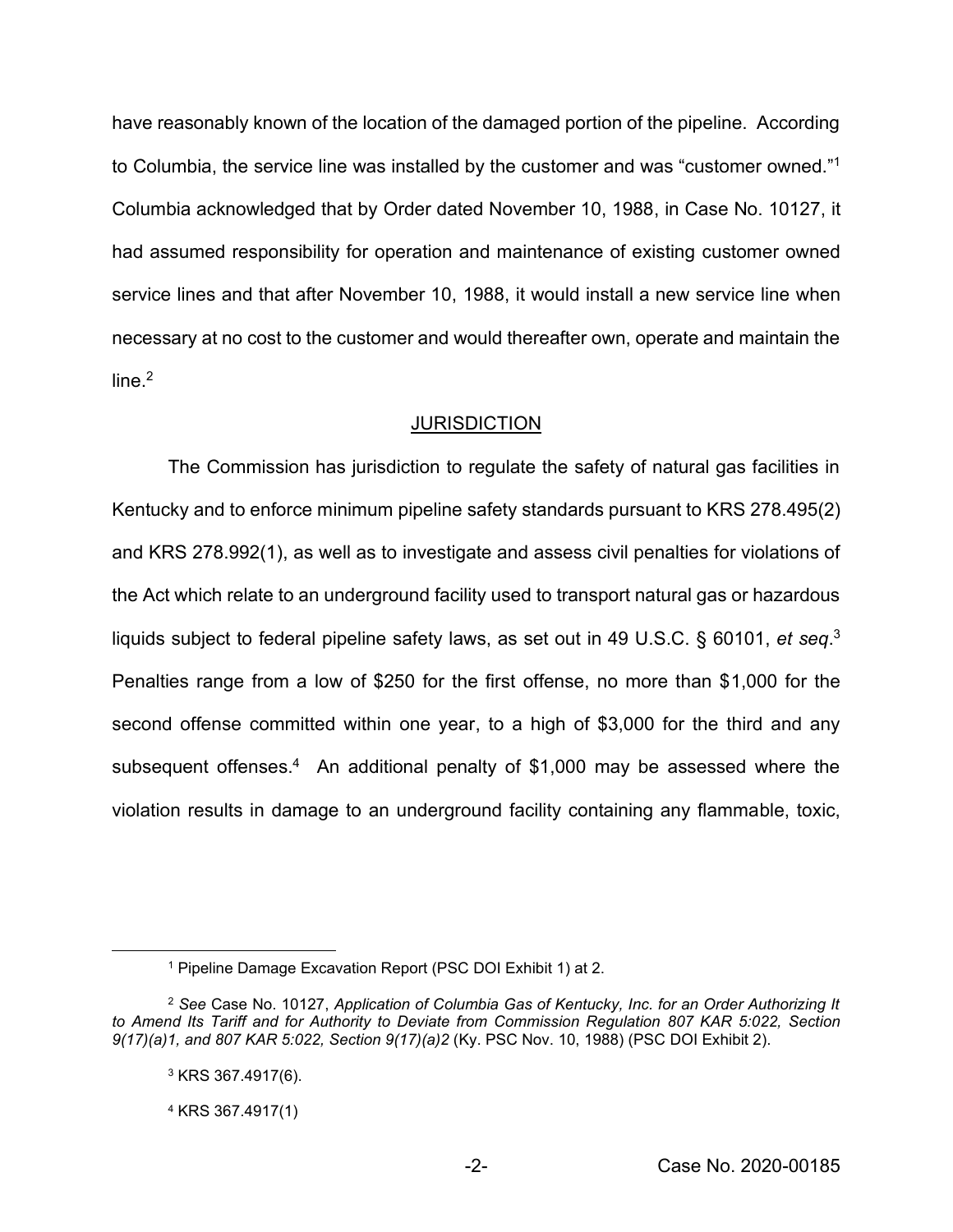have reasonably known of the location of the damaged portion of the pipeline. According to Columbia, the service line was installed by the customer and was "customer owned."1 Columbia acknowledged that by Order dated November 10, 1988, in Case No. 10127, it had assumed responsibility for operation and maintenance of existing customer owned service lines and that after November 10, 1988, it would install a new service line when necessary at no cost to the customer and would thereafter own, operate and maintain the line $^2$ 

### **JURISDICTION**

The Commission has jurisdiction to regulate the safety of natural gas facilities in Kentucky and to enforce minimum pipeline safety standards pursuant to KRS 278.495(2) and KRS 278.992(1), as well as to investigate and assess civil penalties for violations of the Act which relate to an underground facility used to transport natural gas or hazardous liquids subject to federal pipeline safety laws, as set out in 49 U.S.C. § 60101, *et seq*. 3 Penalties range from a low of \$250 for the first offense, no more than \$1,000 for the second offense committed within one year, to a high of \$3,000 for the third and any subsequent offenses.<sup>4</sup> An additional penalty of \$1,000 may be assessed where the violation results in damage to an underground facility containing any flammable, toxic,

<sup>1</sup> Pipeline Damage Excavation Report (PSC DOI Exhibit 1) at 2.

<sup>2</sup> *See* Case No. 10127, *Application of Columbia Gas of Kentucky, Inc. for an Order Authorizing It to Amend Its Tariff and for Authority to Deviate from Commission Regulation 807 KAR 5:022, Section 9(17)(a)1, and 807 KAR 5:022, Section 9(17)(a)2* (Ky. PSC Nov. 10, 1988) (PSC DOI Exhibit 2).

<sup>3</sup> KRS 367.4917(6).

<sup>4</sup> KRS 367.4917(1)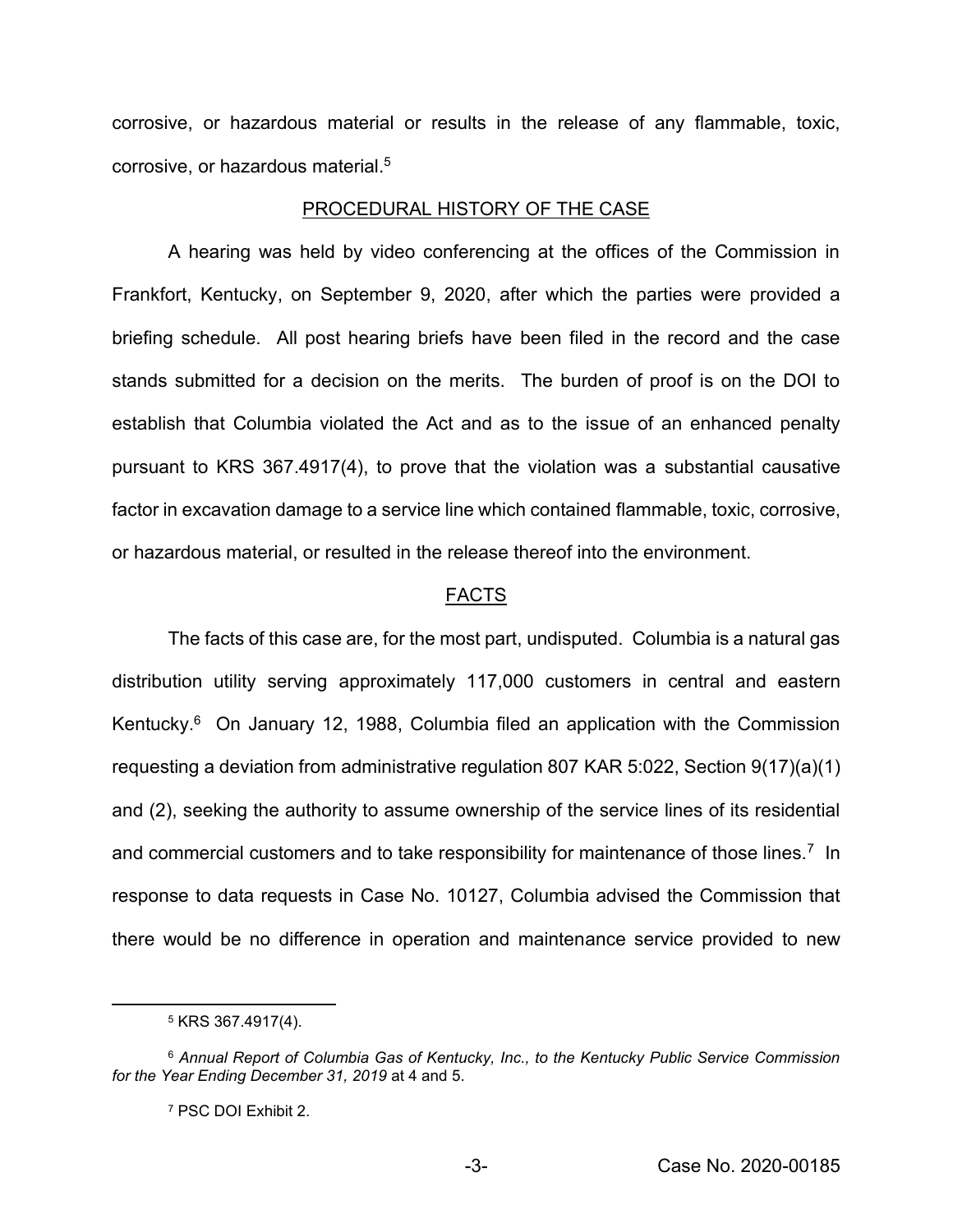corrosive, or hazardous material or results in the release of any flammable, toxic, corrosive, or hazardous material.5

#### PROCEDURAL HISTORY OF THE CASE

A hearing was held by video conferencing at the offices of the Commission in Frankfort, Kentucky, on September 9, 2020, after which the parties were provided a briefing schedule. All post hearing briefs have been filed in the record and the case stands submitted for a decision on the merits. The burden of proof is on the DOI to establish that Columbia violated the Act and as to the issue of an enhanced penalty pursuant to KRS 367.4917(4), to prove that the violation was a substantial causative factor in excavation damage to a service line which contained flammable, toxic, corrosive, or hazardous material, or resulted in the release thereof into the environment.

#### FACTS

The facts of this case are, for the most part, undisputed. Columbia is a natural gas distribution utility serving approximately 117,000 customers in central and eastern Kentucky.<sup>6</sup> On January 12, 1988, Columbia filed an application with the Commission requesting a deviation from administrative regulation 807 KAR 5:022, Section 9(17)(a)(1) and (2), seeking the authority to assume ownership of the service lines of its residential and commercial customers and to take responsibility for maintenance of those lines.<sup>7</sup> In response to data requests in Case No. 10127, Columbia advised the Commission that there would be no difference in operation and maintenance service provided to new

<sup>5</sup> KRS 367.4917(4).

<sup>6</sup> *Annual Report of Columbia Gas of Kentucky, Inc., to the Kentucky Public Service Commission for the Year Ending December 31, 2019* at 4 and 5.

<sup>7</sup> PSC DOI Exhibit 2.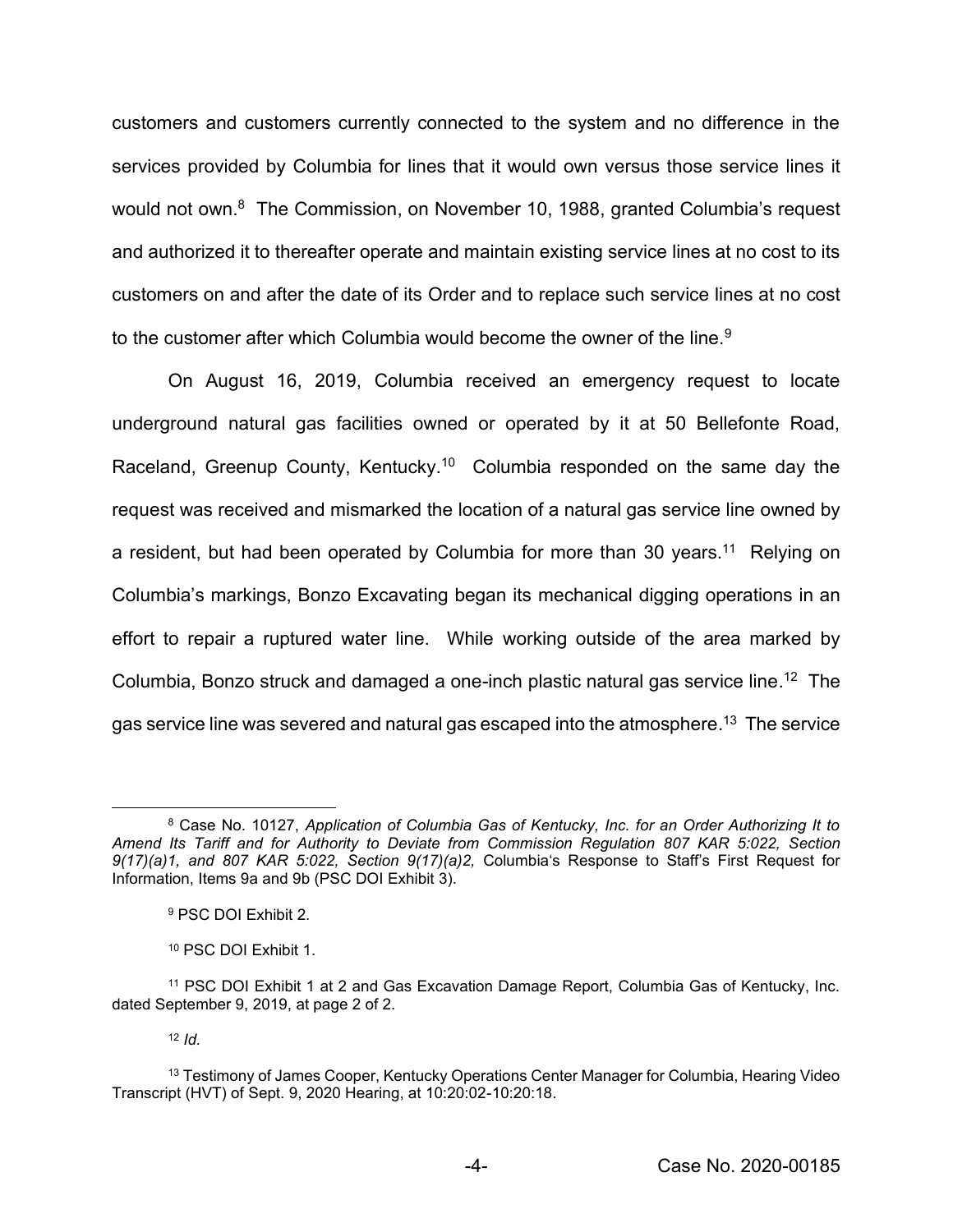customers and customers currently connected to the system and no difference in the services provided by Columbia for lines that it would own versus those service lines it would not own.<sup>8</sup> The Commission, on November 10, 1988, granted Columbia's request and authorized it to thereafter operate and maintain existing service lines at no cost to its customers on and after the date of its Order and to replace such service lines at no cost to the customer after which Columbia would become the owner of the line.<sup>9</sup>

On August 16, 2019, Columbia received an emergency request to locate underground natural gas facilities owned or operated by it at 50 Bellefonte Road, Raceland, Greenup County, Kentucky.<sup>10</sup> Columbia responded on the same day the request was received and mismarked the location of a natural gas service line owned by a resident, but had been operated by Columbia for more than 30 years.<sup>11</sup> Relying on Columbia's markings, Bonzo Excavating began its mechanical digging operations in an effort to repair a ruptured water line. While working outside of the area marked by Columbia, Bonzo struck and damaged a one-inch plastic natural gas service line. 12 The gas service line was severed and natural gas escaped into the atmosphere.<sup>13</sup> The service

<sup>12</sup> *Id.*

<sup>8</sup> Case No. 10127, *Application of Columbia Gas of Kentucky, Inc. for an Order Authorizing It to Amend Its Tariff and for Authority to Deviate from Commission Regulation 807 KAR 5:022, Section 9(17)(a)1, and 807 KAR 5:022, Section 9(17)(a)2,* Columbia's Response to Staff's First Request for Information, Items 9a and 9b (PSC DOI Exhibit 3).

<sup>9</sup> PSC DOI Exhibit 2.

<sup>10</sup> PSC DOI Exhibit 1.

<sup>11</sup> PSC DOI Exhibit 1 at 2 and Gas Excavation Damage Report, Columbia Gas of Kentucky, Inc. dated September 9, 2019, at page 2 of 2.

<sup>&</sup>lt;sup>13</sup> Testimony of James Cooper, Kentucky Operations Center Manager for Columbia, Hearing Video Transcript (HVT) of Sept. 9, 2020 Hearing, at 10:20:02-10:20:18.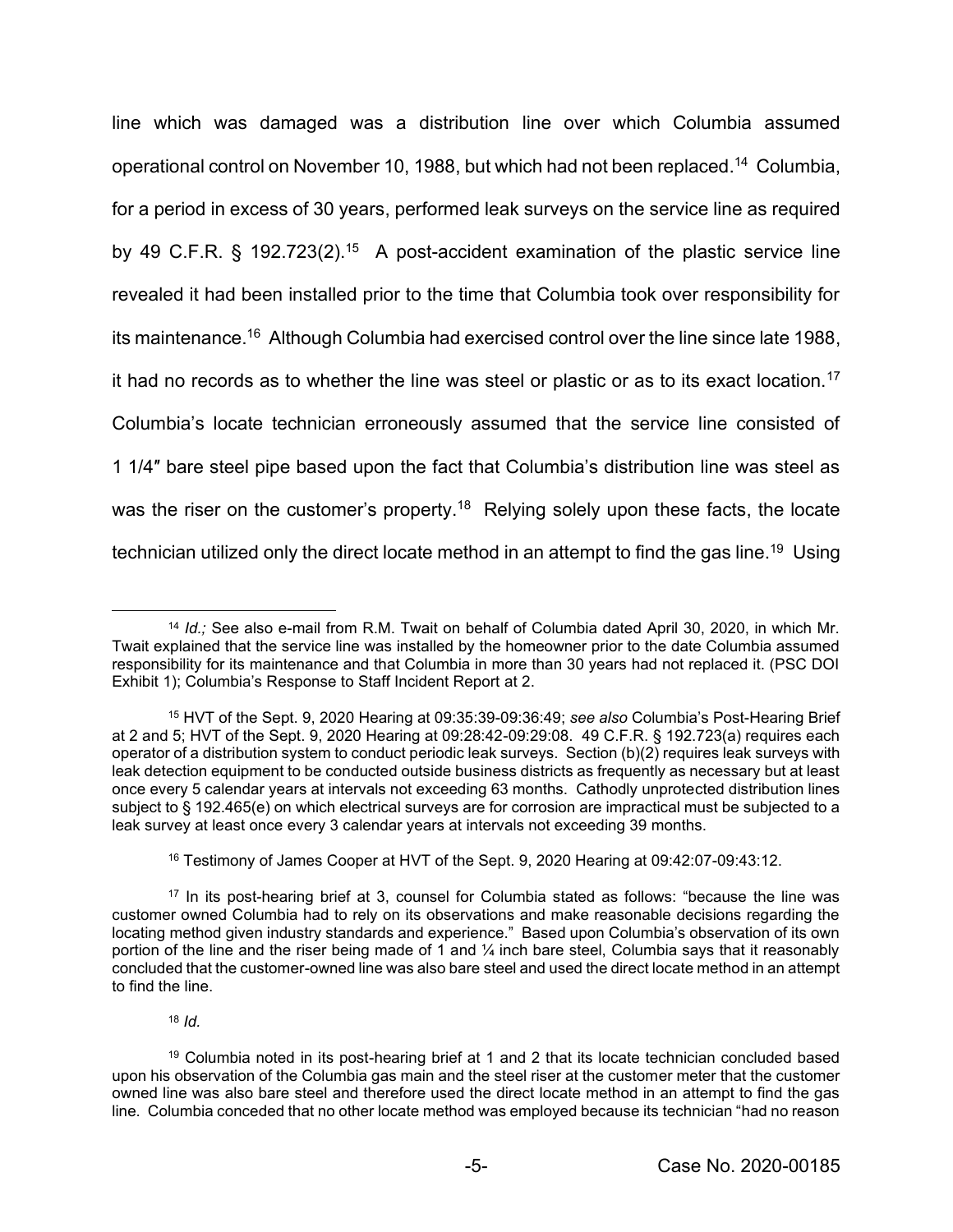line which was damaged was a distribution line over which Columbia assumed operational control on November 10, 1988, but which had not been replaced. <sup>14</sup> Columbia, for a period in excess of 30 years, performed leak surveys on the service line as required by 49 C.F.R. § 192.723(2).15 A post-accident examination of the plastic service line revealed it had been installed prior to the time that Columbia took over responsibility for its maintenance. <sup>16</sup> Although Columbia had exercised control over the line since late 1988, it had no records as to whether the line was steel or plastic or as to its exact location.17 Columbia's locate technician erroneously assumed that the service line consisted of 1 1/4″ bare steel pipe based upon the fact that Columbia's distribution line was steel as was the riser on the customer's property.<sup>18</sup> Relying solely upon these facts, the locate technician utilized only the direct locate method in an attempt to find the gas line.<sup>19</sup> Using

<sup>16</sup> Testimony of James Cooper at HVT of the Sept. 9, 2020 Hearing at 09:42:07-09:43:12.

<sup>18</sup> *Id.*

<sup>14</sup> *Id.;* See also e-mail from R.M. Twait on behalf of Columbia dated April 30, 2020, in which Mr. Twait explained that the service line was installed by the homeowner prior to the date Columbia assumed responsibility for its maintenance and that Columbia in more than 30 years had not replaced it. (PSC DOI Exhibit 1); Columbia's Response to Staff Incident Report at 2.

<sup>15</sup> HVT of the Sept. 9, 2020 Hearing at 09:35:39-09:36:49; *see also* Columbia's Post-Hearing Brief at 2 and 5; HVT of the Sept. 9, 2020 Hearing at 09:28:42-09:29:08. 49 C.F.R. § 192.723(a) requires each operator of a distribution system to conduct periodic leak surveys. Section (b)(2) requires leak surveys with leak detection equipment to be conducted outside business districts as frequently as necessary but at least once every 5 calendar years at intervals not exceeding 63 months. Cathodly unprotected distribution lines subject to § 192.465(e) on which electrical surveys are for corrosion are impractical must be subjected to a leak survey at least once every 3 calendar years at intervals not exceeding 39 months.

<sup>17</sup> In its post-hearing brief at 3, counsel for Columbia stated as follows: "because the line was customer owned Columbia had to rely on its observations and make reasonable decisions regarding the locating method given industry standards and experience." Based upon Columbia's observation of its own portion of the line and the riser being made of 1 and  $\frac{1}{4}$  inch bare steel, Columbia says that it reasonably concluded that the customer-owned line was also bare steel and used the direct locate method in an attempt to find the line.

<sup>19</sup> Columbia noted in its post-hearing brief at 1 and 2 that its locate technician concluded based upon his observation of the Columbia gas main and the steel riser at the customer meter that the customer owned line was also bare steel and therefore used the direct locate method in an attempt to find the gas line. Columbia conceded that no other locate method was employed because its technician "had no reason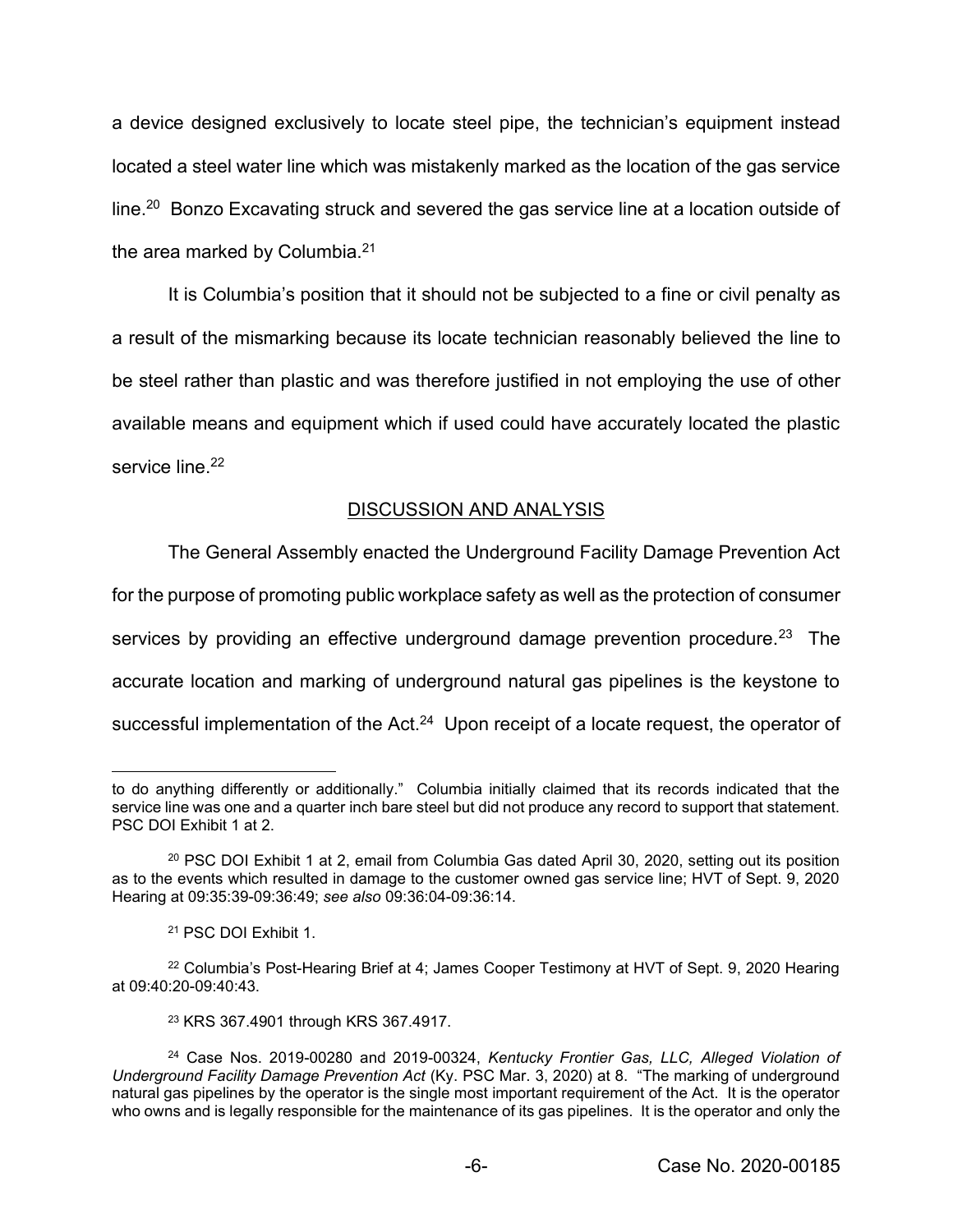a device designed exclusively to locate steel pipe, the technician's equipment instead located a steel water line which was mistakenly marked as the location of the gas service line.<sup>20</sup> Bonzo Excavating struck and severed the gas service line at a location outside of the area marked by Columbia.<sup>21</sup>

It is Columbia's position that it should not be subjected to a fine or civil penalty as a result of the mismarking because its locate technician reasonably believed the line to be steel rather than plastic and was therefore justified in not employing the use of other available means and equipment which if used could have accurately located the plastic service line.<sup>22</sup>

# DISCUSSION AND ANALYSIS

The General Assembly enacted the Underground Facility Damage Prevention Act

for the purpose of promoting public workplace safety as well as the protection of consumer

services by providing an effective underground damage prevention procedure.<sup>23</sup> The

accurate location and marking of underground natural gas pipelines is the keystone to

successful implementation of the Act. $24$  Upon receipt of a locate request, the operator of

<sup>23</sup> KRS 367.4901 through KRS 367.4917.

to do anything differently or additionally." Columbia initially claimed that its records indicated that the service line was one and a quarter inch bare steel but did not produce any record to support that statement. PSC DOI Exhibit 1 at 2.

<sup>20</sup> PSC DOI Exhibit 1 at 2, email from Columbia Gas dated April 30, 2020, setting out its position as to the events which resulted in damage to the customer owned gas service line; HVT of Sept. 9, 2020 Hearing at 09:35:39-09:36:49; *see also* 09:36:04-09:36:14.

<sup>21</sup> PSC DOI Exhibit 1.

<sup>&</sup>lt;sup>22</sup> Columbia's Post-Hearing Brief at 4; James Cooper Testimony at HVT of Sept. 9, 2020 Hearing at 09:40:20-09:40:43.

<sup>24</sup> Case Nos. 2019-00280 and 2019-00324, *Kentucky Frontier Gas, LLC, Alleged Violation of Underground Facility Damage Prevention Act* (Ky. PSC Mar. 3, 2020) at 8. "The marking of underground natural gas pipelines by the operator is the single most important requirement of the Act. It is the operator who owns and is legally responsible for the maintenance of its gas pipelines. It is the operator and only the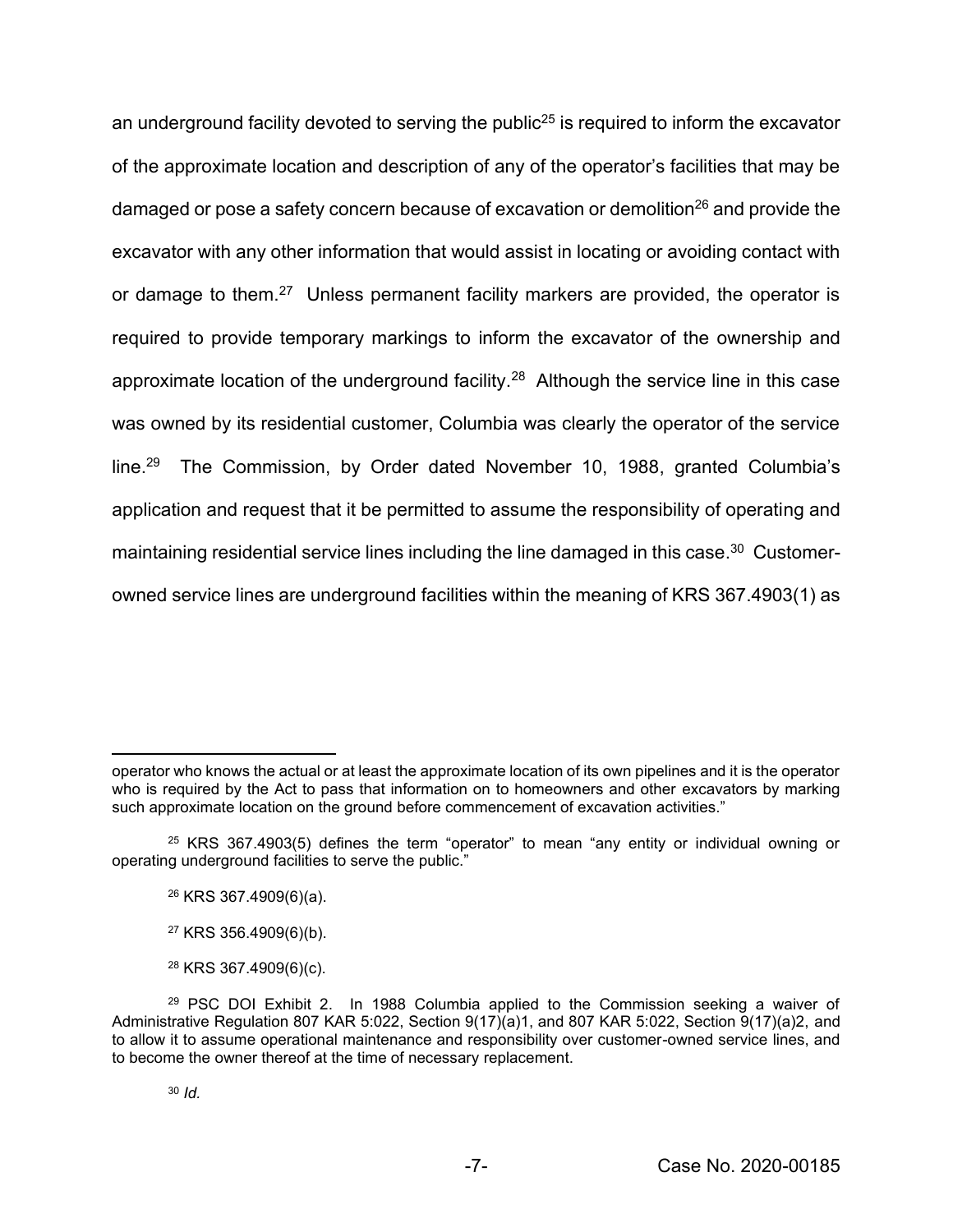an underground facility devoted to serving the public<sup>25</sup> is required to inform the excavator of the approximate location and description of any of the operator's facilities that may be damaged or pose a safety concern because of excavation or demolition<sup>26</sup> and provide the excavator with any other information that would assist in locating or avoiding contact with or damage to them.<sup>27</sup> Unless permanent facility markers are provided, the operator is required to provide temporary markings to inform the excavator of the ownership and approximate location of the underground facility.<sup>28</sup> Although the service line in this case was owned by its residential customer, Columbia was clearly the operator of the service line.29 The Commission, by Order dated November 10, 1988, granted Columbia's application and request that it be permitted to assume the responsibility of operating and maintaining residential service lines including the line damaged in this case.<sup>30</sup> Customerowned service lines are underground facilities within the meaning of KRS 367.4903(1) as

operator who knows the actual or at least the approximate location of its own pipelines and it is the operator who is required by the Act to pass that information on to homeowners and other excavators by marking such approximate location on the ground before commencement of excavation activities."

 $25$  KRS 367.4903(5) defines the term "operator" to mean "any entity or individual owning or operating underground facilities to serve the public."

<sup>26</sup> KRS 367.4909(6)(a).

<sup>27</sup> KRS 356.4909(6)(b).

<sup>28</sup> KRS 367.4909(6)(c).

<sup>29</sup> PSC DOI Exhibit 2. In 1988 Columbia applied to the Commission seeking a waiver of Administrative Regulation 807 KAR 5:022, Section 9(17)(a)1, and 807 KAR 5:022, Section 9(17)(a)2, and to allow it to assume operational maintenance and responsibility over customer-owned service lines, and to become the owner thereof at the time of necessary replacement.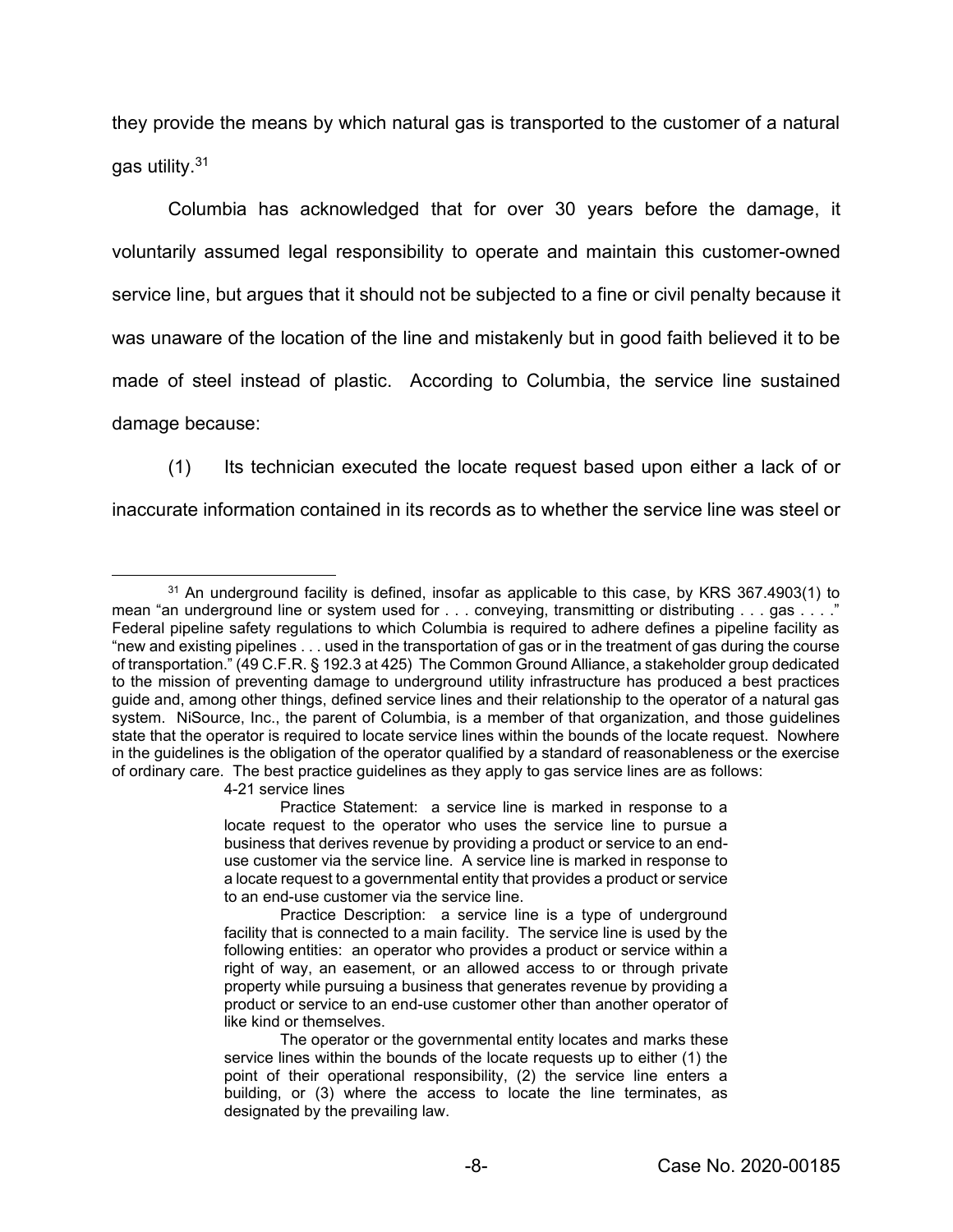they provide the means by which natural gas is transported to the customer of a natural gas utility.31

Columbia has acknowledged that for over 30 years before the damage, it voluntarily assumed legal responsibility to operate and maintain this customer-owned service line, but argues that it should not be subjected to a fine or civil penalty because it was unaware of the location of the line and mistakenly but in good faith believed it to be made of steel instead of plastic. According to Columbia, the service line sustained damage because:

(1) Its technician executed the locate request based upon either a lack of or

inaccurate information contained in its records as to whether the service line was steel or

4-21 service lines

<sup>&</sup>lt;sup>31</sup> An underground facility is defined, insofar as applicable to this case, by KRS 367.4903(1) to mean "an underground line or system used for . . . conveying, transmitting or distributing . . . gas . . . ." Federal pipeline safety regulations to which Columbia is required to adhere defines a pipeline facility as "new and existing pipelines . . . used in the transportation of gas or in the treatment of gas during the course of transportation." (49 C.F.R. § 192.3 at 425) The Common Ground Alliance, a stakeholder group dedicated to the mission of preventing damage to underground utility infrastructure has produced a best practices guide and, among other things, defined service lines and their relationship to the operator of a natural gas system. NiSource, Inc., the parent of Columbia, is a member of that organization, and those guidelines state that the operator is required to locate service lines within the bounds of the locate request. Nowhere in the guidelines is the obligation of the operator qualified by a standard of reasonableness or the exercise of ordinary care. The best practice guidelines as they apply to gas service lines are as follows:

Practice Statement: a service line is marked in response to a locate request to the operator who uses the service line to pursue a business that derives revenue by providing a product or service to an enduse customer via the service line. A service line is marked in response to a locate request to a governmental entity that provides a product or service to an end-use customer via the service line.

Practice Description: a service line is a type of underground facility that is connected to a main facility. The service line is used by the following entities: an operator who provides a product or service within a right of way, an easement, or an allowed access to or through private property while pursuing a business that generates revenue by providing a product or service to an end-use customer other than another operator of like kind or themselves.

The operator or the governmental entity locates and marks these service lines within the bounds of the locate requests up to either (1) the point of their operational responsibility, (2) the service line enters a building, or (3) where the access to locate the line terminates, as designated by the prevailing law.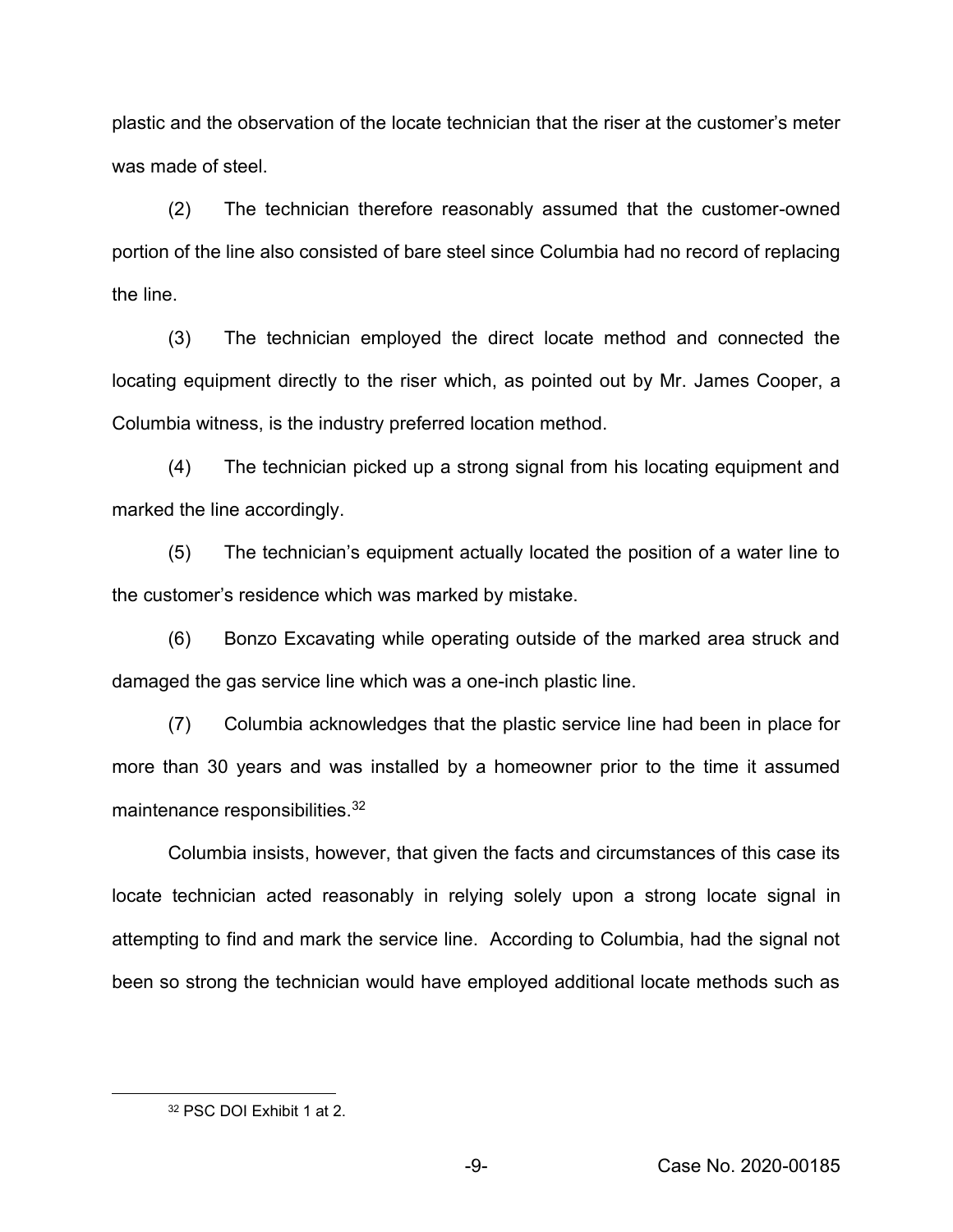plastic and the observation of the locate technician that the riser at the customer's meter was made of steel.

(2) The technician therefore reasonably assumed that the customer-owned portion of the line also consisted of bare steel since Columbia had no record of replacing the line.

(3) The technician employed the direct locate method and connected the locating equipment directly to the riser which, as pointed out by Mr. James Cooper, a Columbia witness, is the industry preferred location method.

(4) The technician picked up a strong signal from his locating equipment and marked the line accordingly.

(5) The technician's equipment actually located the position of a water line to the customer's residence which was marked by mistake.

(6) Bonzo Excavating while operating outside of the marked area struck and damaged the gas service line which was a one-inch plastic line.

(7) Columbia acknowledges that the plastic service line had been in place for more than 30 years and was installed by a homeowner prior to the time it assumed maintenance responsibilities.<sup>32</sup>

Columbia insists, however, that given the facts and circumstances of this case its locate technician acted reasonably in relying solely upon a strong locate signal in attempting to find and mark the service line. According to Columbia, had the signal not been so strong the technician would have employed additional locate methods such as

<sup>32</sup> PSC DOI Exhibit 1 at 2.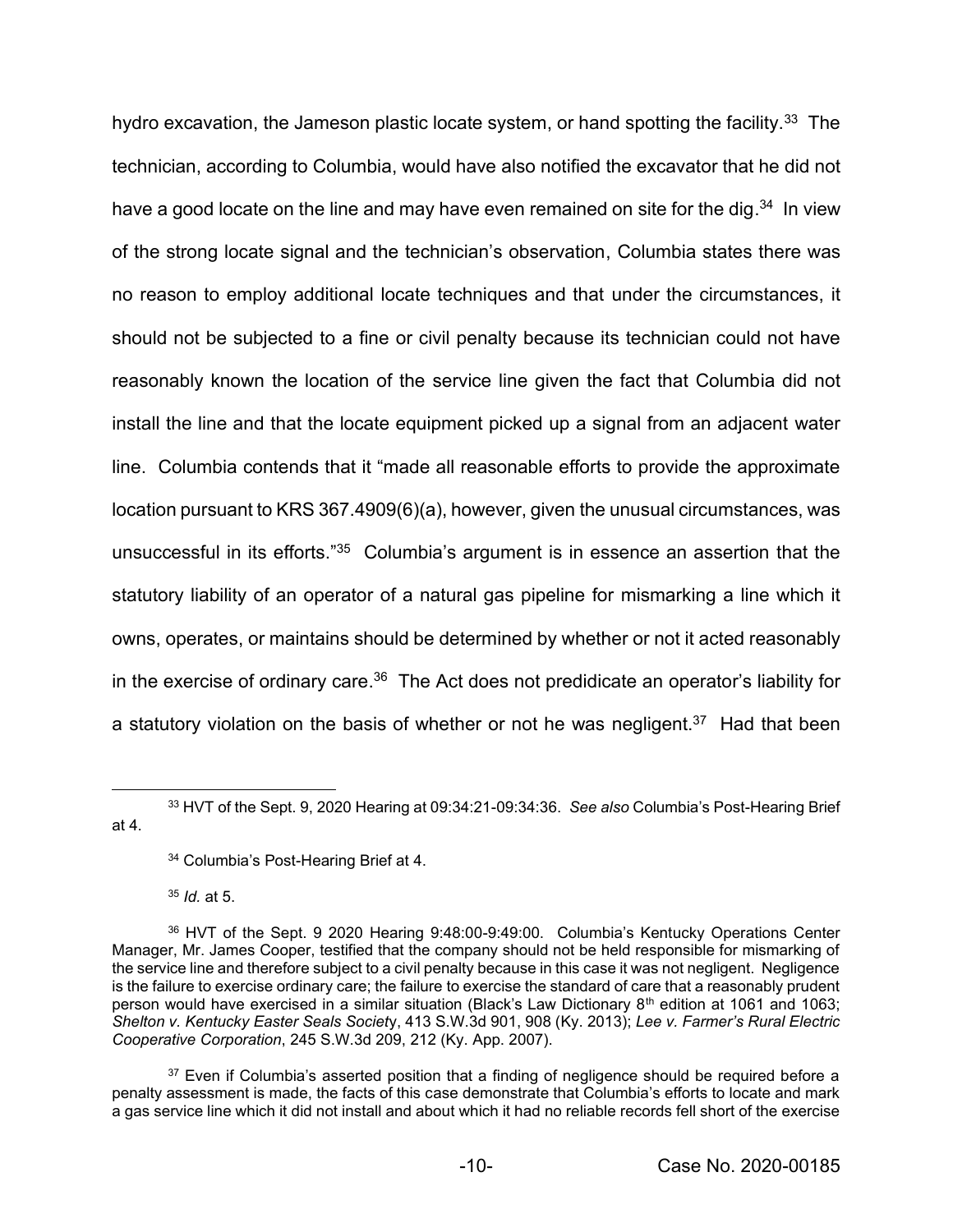hydro excavation, the Jameson plastic locate system, or hand spotting the facility.<sup>33</sup> The technician, according to Columbia, would have also notified the excavator that he did not have a good locate on the line and may have even remained on site for the dig.<sup>34</sup> In view of the strong locate signal and the technician's observation, Columbia states there was no reason to employ additional locate techniques and that under the circumstances, it should not be subjected to a fine or civil penalty because its technician could not have reasonably known the location of the service line given the fact that Columbia did not install the line and that the locate equipment picked up a signal from an adjacent water line. Columbia contends that it "made all reasonable efforts to provide the approximate location pursuant to KRS 367.4909(6)(a), however, given the unusual circumstances, was unsuccessful in its efforts."35 Columbia's argument is in essence an assertion that the statutory liability of an operator of a natural gas pipeline for mismarking a line which it owns, operates, or maintains should be determined by whether or not it acted reasonably in the exercise of ordinary care.<sup>36</sup> The Act does not predidicate an operator's liability for a statutory violation on the basis of whether or not he was negligent.<sup>37</sup> Had that been

<sup>35</sup> *Id.* at 5.

<sup>33</sup> HVT of the Sept. 9, 2020 Hearing at 09:34:21-09:34:36. *See also* Columbia's Post-Hearing Brief at 4.

<sup>34</sup> Columbia's Post-Hearing Brief at 4.

<sup>36</sup> HVT of the Sept. 9 2020 Hearing 9:48:00-9:49:00. Columbia's Kentucky Operations Center Manager, Mr. James Cooper, testified that the company should not be held responsible for mismarking of the service line and therefore subject to a civil penalty because in this case it was not negligent. Negligence is the failure to exercise ordinary care; the failure to exercise the standard of care that a reasonably prudent person would have exercised in a similar situation (Black's Law Dictionary 8<sup>th</sup> edition at 1061 and 1063; *Shelton v. Kentucky Easter Seals Societ*y, 413 S.W.3d 901, 908 (Ky. 2013); *Lee v. Farmer's Rural Electric Cooperative Corporation*, 245 S.W.3d 209, 212 (Ky. App. 2007).

 $37$  Even if Columbia's asserted position that a finding of negligence should be required before a penalty assessment is made, the facts of this case demonstrate that Columbia's efforts to locate and mark a gas service line which it did not install and about which it had no reliable records fell short of the exercise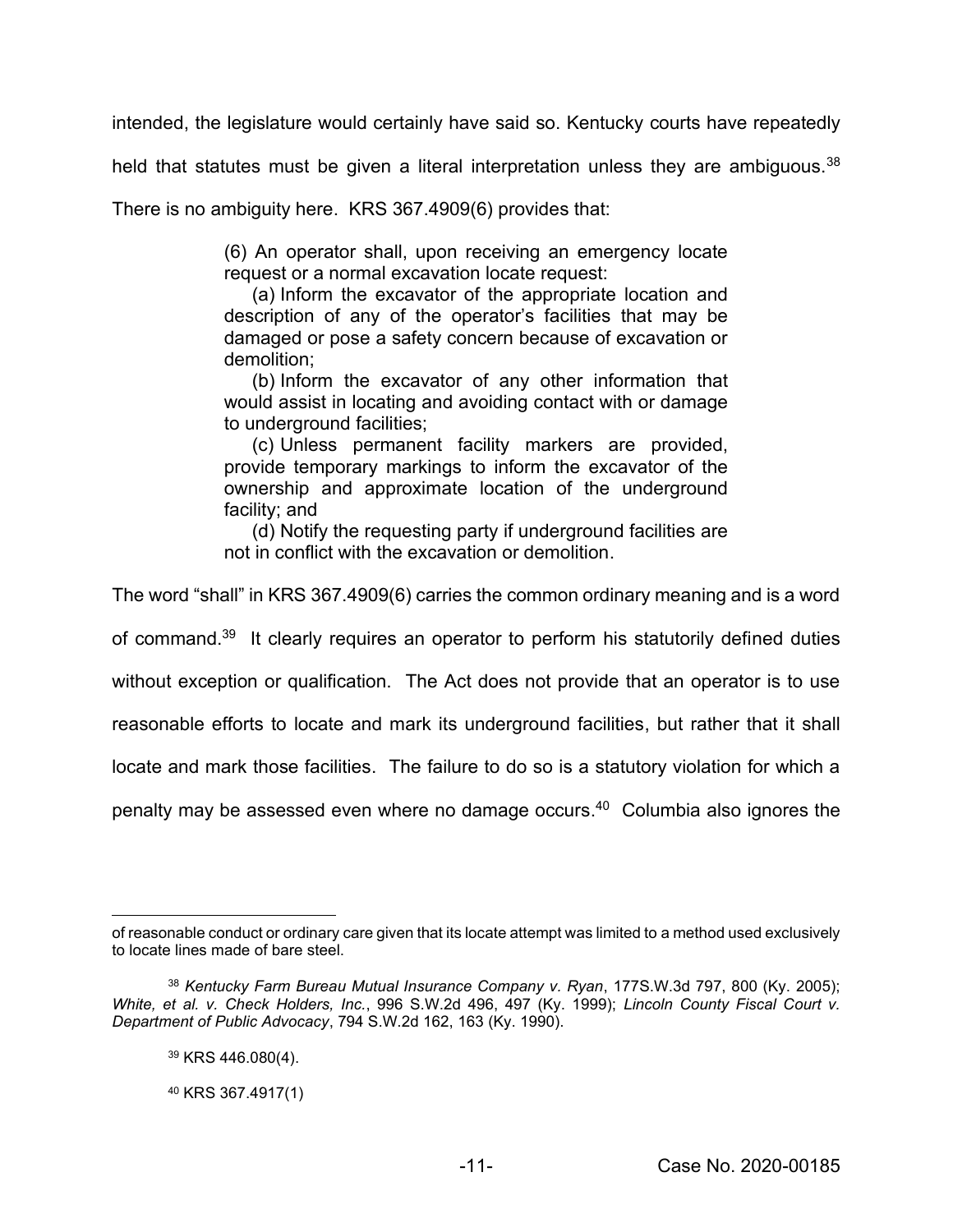intended, the legislature would certainly have said so. Kentucky courts have repeatedly

held that statutes must be given a literal interpretation unless they are ambiguous.<sup>38</sup>

There is no ambiguity here. KRS 367.4909(6) provides that:

(6) An operator shall, upon receiving an emergency locate request or a normal excavation locate request:

(a) Inform the excavator of the appropriate location and description of any of the operator's facilities that may be damaged or pose a safety concern because of excavation or demolition;

(b) Inform the excavator of any other information that would assist in locating and avoiding contact with or damage to underground facilities;

(c) Unless permanent facility markers are provided, provide temporary markings to inform the excavator of the ownership and approximate location of the underground facility; and

(d) Notify the requesting party if underground facilities are not in conflict with the excavation or demolition.

The word "shall" in KRS 367.4909(6) carries the common ordinary meaning and is a word

of command.<sup>39</sup> It clearly requires an operator to perform his statutorily defined duties

without exception or qualification. The Act does not provide that an operator is to use

reasonable efforts to locate and mark its underground facilities, but rather that it shall

locate and mark those facilities. The failure to do so is a statutory violation for which a

penalty may be assessed even where no damage occurs. <sup>40</sup> Columbia also ignores the

of reasonable conduct or ordinary care given that its locate attempt was limited to a method used exclusively to locate lines made of bare steel.

<sup>38</sup> *Kentucky Farm Bureau Mutual Insurance Company v. Ryan*, 177S.W.3d 797, 800 (Ky. 2005); *White, et al. v. Check Holders, Inc.*, 996 S.W.2d 496, 497 (Ky. 1999); *Lincoln County Fiscal Court v. Department of Public Advocacy*, 794 S.W.2d 162, 163 (Ky. 1990).

<sup>39</sup> KRS 446.080(4).

<sup>40</sup> KRS 367.4917(1)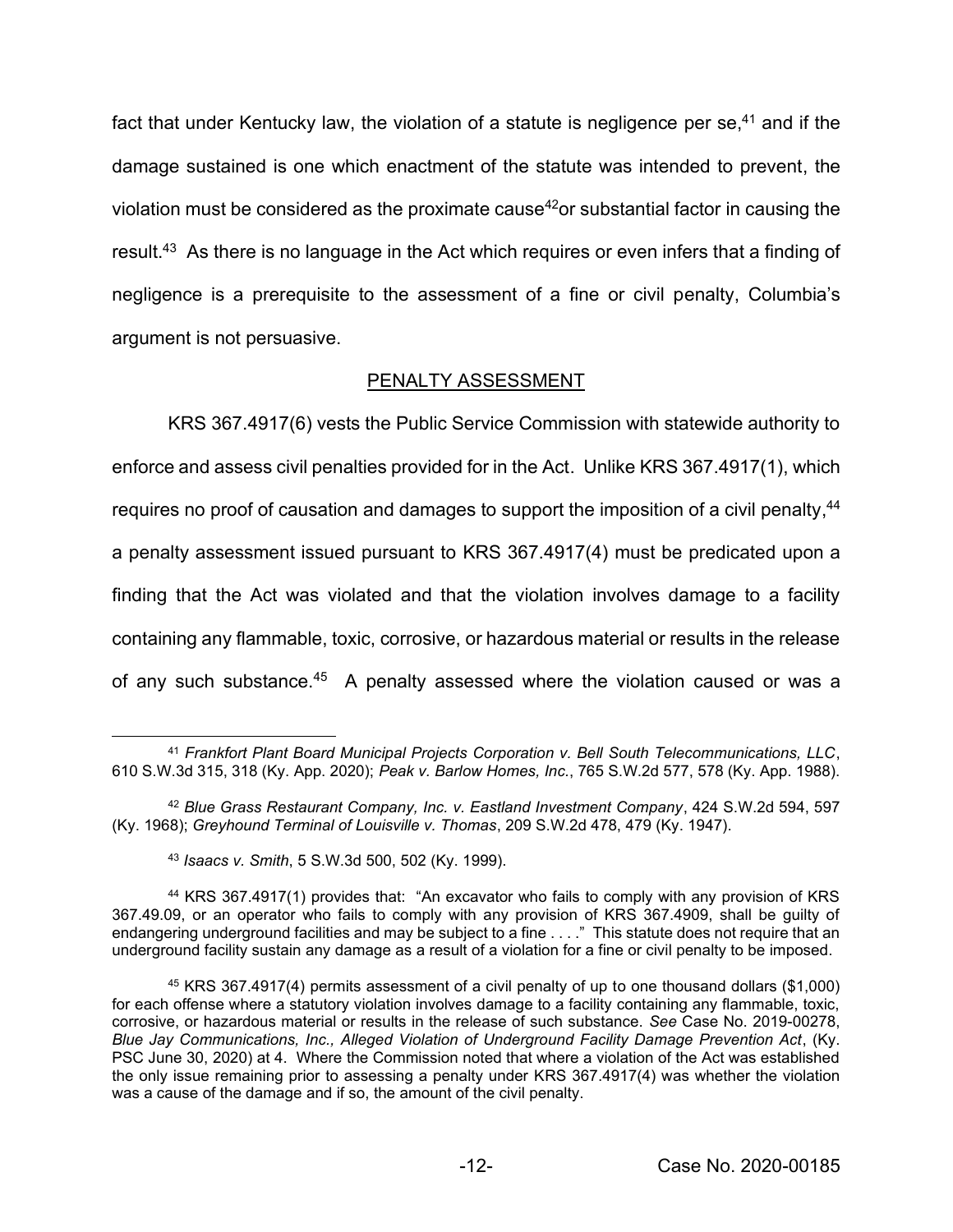fact that under Kentucky law, the violation of a statute is negligence per se,<sup>41</sup> and if the damage sustained is one which enactment of the statute was intended to prevent, the violation must be considered as the proximate cause<sup>42</sup>or substantial factor in causing the result.<sup>43</sup> As there is no language in the Act which requires or even infers that a finding of negligence is a prerequisite to the assessment of a fine or civil penalty, Columbia's argument is not persuasive.

# PENALTY ASSESSMENT

KRS 367.4917(6) vests the Public Service Commission with statewide authority to enforce and assess civil penalties provided for in the Act. Unlike KRS 367.4917(1), which requires no proof of causation and damages to support the imposition of a civil penalty,<sup>44</sup> a penalty assessment issued pursuant to KRS 367.4917(4) must be predicated upon a finding that the Act was violated and that the violation involves damage to a facility containing any flammable, toxic, corrosive, or hazardous material or results in the release of any such substance.45 A penalty assessed where the violation caused or was a

<sup>41</sup> *Frankfort Plant Board Municipal Projects Corporation v. Bell South Telecommunications, LLC*, 610 S.W.3d 315, 318 (Ky. App. 2020); *Peak v. Barlow Homes, Inc.*, 765 S.W.2d 577, 578 (Ky. App. 1988).

<sup>42</sup> *Blue Grass Restaurant Company, Inc. v. Eastland Investment Company*, 424 S.W.2d 594, 597 (Ky. 1968); *Greyhound Terminal of Louisville v. Thomas*, 209 S.W.2d 478, 479 (Ky. 1947).

<sup>43</sup> *Isaacs v. Smith*, 5 S.W.3d 500, 502 (Ky. 1999).

<sup>44</sup> KRS 367.4917(1) provides that: "An excavator who fails to comply with any provision of KRS 367.49.09, or an operator who fails to comply with any provision of KRS 367.4909, shall be guilty of endangering underground facilities and may be subject to a fine . . . ." This statute does not require that an underground facility sustain any damage as a result of a violation for a fine or civil penalty to be imposed.

<sup>45</sup> KRS 367.4917(4) permits assessment of a civil penalty of up to one thousand dollars (\$1,000) for each offense where a statutory violation involves damage to a facility containing any flammable, toxic, corrosive, or hazardous material or results in the release of such substance. *See* Case No. 2019-00278, *Blue Jay Communications, Inc., Alleged Violation of Underground Facility Damage Prevention Act*, (Ky. PSC June 30, 2020) at 4. Where the Commission noted that where a violation of the Act was established the only issue remaining prior to assessing a penalty under KRS 367.4917(4) was whether the violation was a cause of the damage and if so, the amount of the civil penalty.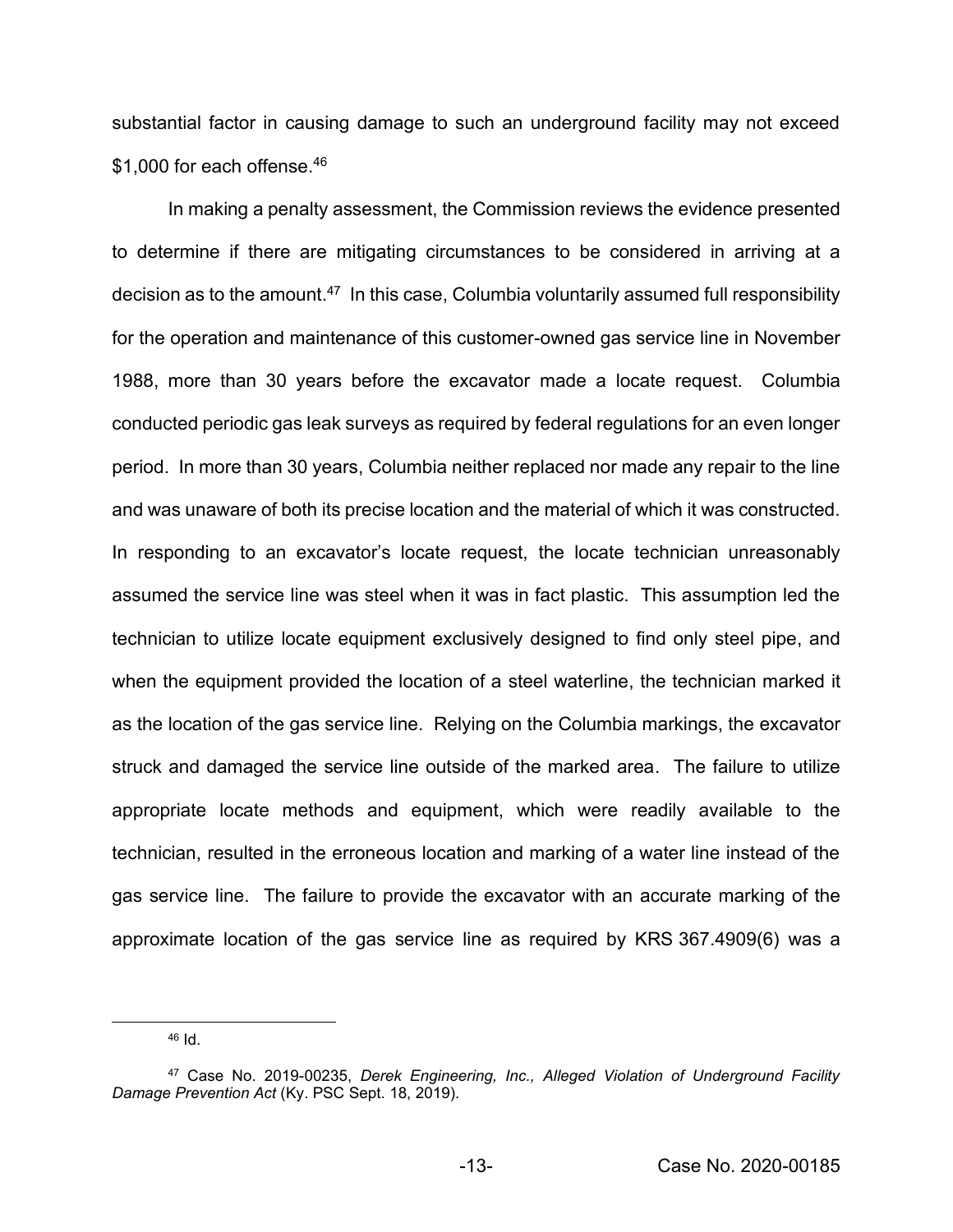substantial factor in causing damage to such an underground facility may not exceed \$1,000 for each offense.<sup>46</sup>

In making a penalty assessment, the Commission reviews the evidence presented to determine if there are mitigating circumstances to be considered in arriving at a decision as to the amount.<sup>47</sup> In this case, Columbia voluntarily assumed full responsibility for the operation and maintenance of this customer-owned gas service line in November 1988, more than 30 years before the excavator made a locate request. Columbia conducted periodic gas leak surveys as required by federal regulations for an even longer period. In more than 30 years, Columbia neither replaced nor made any repair to the line and was unaware of both its precise location and the material of which it was constructed. In responding to an excavator's locate request, the locate technician unreasonably assumed the service line was steel when it was in fact plastic. This assumption led the technician to utilize locate equipment exclusively designed to find only steel pipe, and when the equipment provided the location of a steel waterline, the technician marked it as the location of the gas service line. Relying on the Columbia markings, the excavator struck and damaged the service line outside of the marked area. The failure to utilize appropriate locate methods and equipment, which were readily available to the technician, resulted in the erroneous location and marking of a water line instead of the gas service line. The failure to provide the excavator with an accurate marking of the approximate location of the gas service line as required by KRS 367.4909(6) was a

 $46$  Id.

<sup>47</sup> Case No. 2019-00235, *Derek Engineering, Inc., Alleged Violation of Underground Facility Damage Prevention Act* (Ky. PSC Sept. 18, 2019).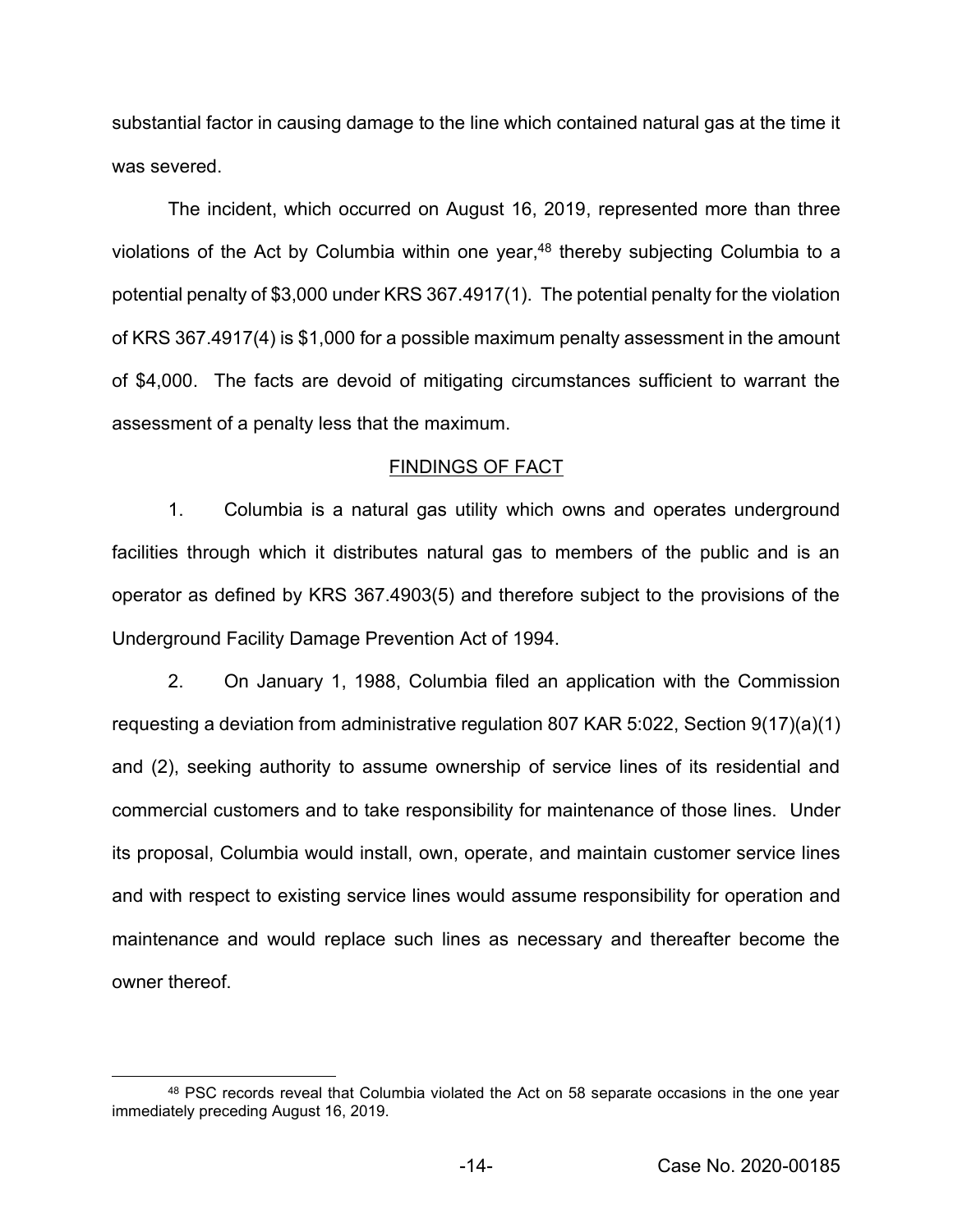substantial factor in causing damage to the line which contained natural gas at the time it was severed.

The incident, which occurred on August 16, 2019, represented more than three violations of the Act by Columbia within one year,<sup>48</sup> thereby subjecting Columbia to a potential penalty of \$3,000 under KRS 367.4917(1). The potential penalty for the violation of KRS 367.4917(4) is \$1,000 for a possible maximum penalty assessment in the amount of \$4,000. The facts are devoid of mitigating circumstances sufficient to warrant the assessment of a penalty less that the maximum.

#### FINDINGS OF FACT

1. Columbia is a natural gas utility which owns and operates underground facilities through which it distributes natural gas to members of the public and is an operator as defined by KRS 367.4903(5) and therefore subject to the provisions of the Underground Facility Damage Prevention Act of 1994.

2. On January 1, 1988, Columbia filed an application with the Commission requesting a deviation from administrative regulation 807 KAR 5:022, Section 9(17)(a)(1) and (2), seeking authority to assume ownership of service lines of its residential and commercial customers and to take responsibility for maintenance of those lines. Under its proposal, Columbia would install, own, operate, and maintain customer service lines and with respect to existing service lines would assume responsibility for operation and maintenance and would replace such lines as necessary and thereafter become the owner thereof.

<sup>48</sup> PSC records reveal that Columbia violated the Act on 58 separate occasions in the one year immediately preceding August 16, 2019.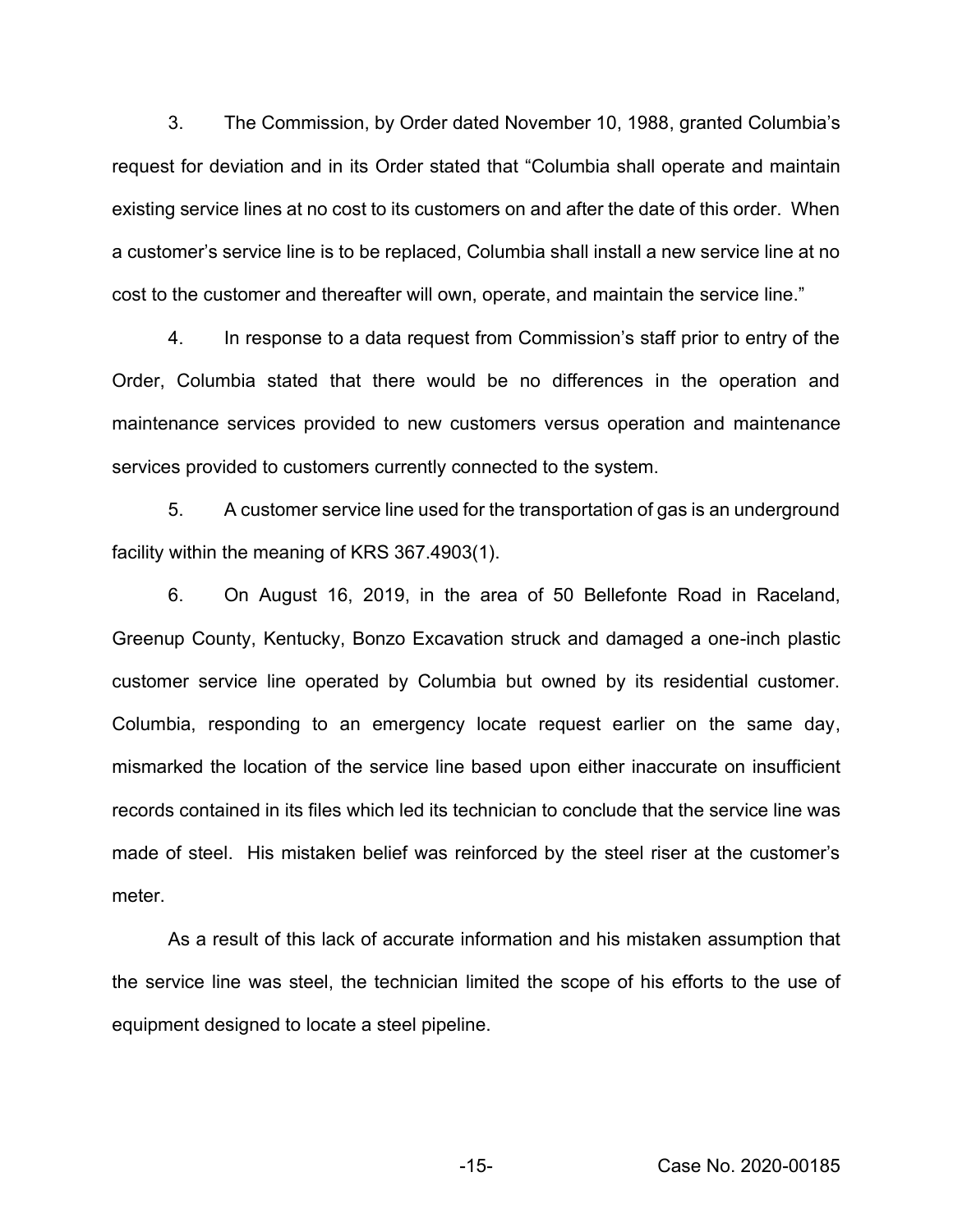3. The Commission, by Order dated November 10, 1988, granted Columbia's request for deviation and in its Order stated that "Columbia shall operate and maintain existing service lines at no cost to its customers on and after the date of this order. When a customer's service line is to be replaced, Columbia shall install a new service line at no cost to the customer and thereafter will own, operate, and maintain the service line."

4. In response to a data request from Commission's staff prior to entry of the Order, Columbia stated that there would be no differences in the operation and maintenance services provided to new customers versus operation and maintenance services provided to customers currently connected to the system.

5. A customer service line used for the transportation of gas is an underground facility within the meaning of KRS 367.4903(1).

6. On August 16, 2019, in the area of 50 Bellefonte Road in Raceland, Greenup County, Kentucky, Bonzo Excavation struck and damaged a one-inch plastic customer service line operated by Columbia but owned by its residential customer. Columbia, responding to an emergency locate request earlier on the same day, mismarked the location of the service line based upon either inaccurate on insufficient records contained in its files which led its technician to conclude that the service line was made of steel. His mistaken belief was reinforced by the steel riser at the customer's meter.

As a result of this lack of accurate information and his mistaken assumption that the service line was steel, the technician limited the scope of his efforts to the use of equipment designed to locate a steel pipeline.

-15- Case No. 2020-00185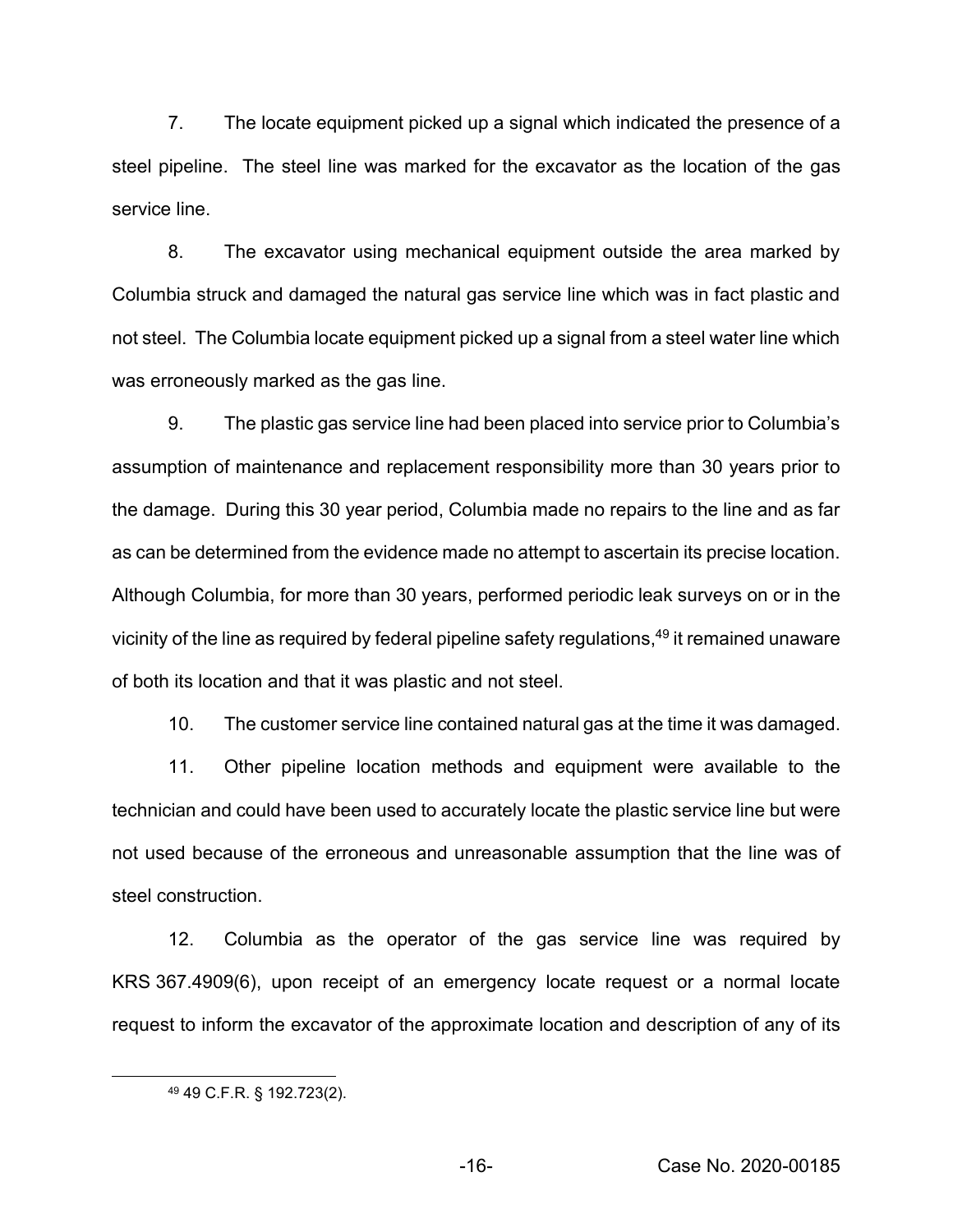7. The locate equipment picked up a signal which indicated the presence of a steel pipeline. The steel line was marked for the excavator as the location of the gas service line.

8. The excavator using mechanical equipment outside the area marked by Columbia struck and damaged the natural gas service line which was in fact plastic and not steel. The Columbia locate equipment picked up a signal from a steel water line which was erroneously marked as the gas line.

9. The plastic gas service line had been placed into service prior to Columbia's assumption of maintenance and replacement responsibility more than 30 years prior to the damage. During this 30 year period, Columbia made no repairs to the line and as far as can be determined from the evidence made no attempt to ascertain its precise location. Although Columbia, for more than 30 years, performed periodic leak surveys on or in the vicinity of the line as required by federal pipeline safety regulations, <sup>49</sup> it remained unaware of both its location and that it was plastic and not steel.

10. The customer service line contained natural gas at the time it was damaged.

11. Other pipeline location methods and equipment were available to the technician and could have been used to accurately locate the plastic service line but were not used because of the erroneous and unreasonable assumption that the line was of steel construction.

12. Columbia as the operator of the gas service line was required by KRS 367.4909(6), upon receipt of an emergency locate request or a normal locate request to inform the excavator of the approximate location and description of any of its

<sup>49</sup> 49 C.F.R. § 192.723(2).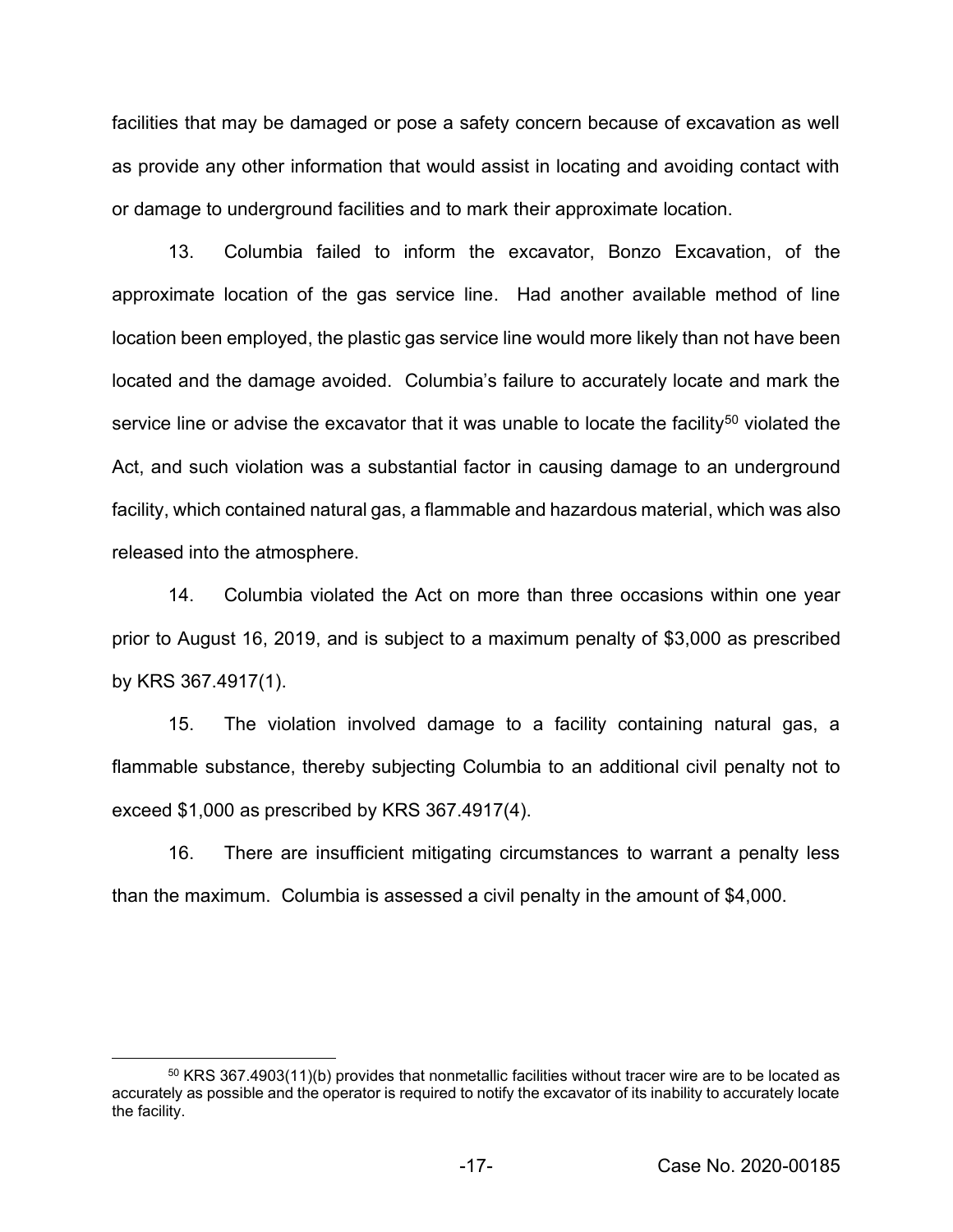facilities that may be damaged or pose a safety concern because of excavation as well as provide any other information that would assist in locating and avoiding contact with or damage to underground facilities and to mark their approximate location.

13. Columbia failed to inform the excavator, Bonzo Excavation, of the approximate location of the gas service line. Had another available method of line location been employed, the plastic gas service line would more likely than not have been located and the damage avoided. Columbia's failure to accurately locate and mark the service line or advise the excavator that it was unable to locate the facility<sup>50</sup> violated the Act, and such violation was a substantial factor in causing damage to an underground facility, which contained natural gas, a flammable and hazardous material, which was also released into the atmosphere.

14. Columbia violated the Act on more than three occasions within one year prior to August 16, 2019, and is subject to a maximum penalty of \$3,000 as prescribed by KRS 367.4917(1).

15. The violation involved damage to a facility containing natural gas, a flammable substance, thereby subjecting Columbia to an additional civil penalty not to exceed \$1,000 as prescribed by KRS 367.4917(4).

16. There are insufficient mitigating circumstances to warrant a penalty less than the maximum. Columbia is assessed a civil penalty in the amount of \$4,000.

<sup>&</sup>lt;sup>50</sup> KRS 367.4903(11)(b) provides that nonmetallic facilities without tracer wire are to be located as accurately as possible and the operator is required to notify the excavator of its inability to accurately locate the facility.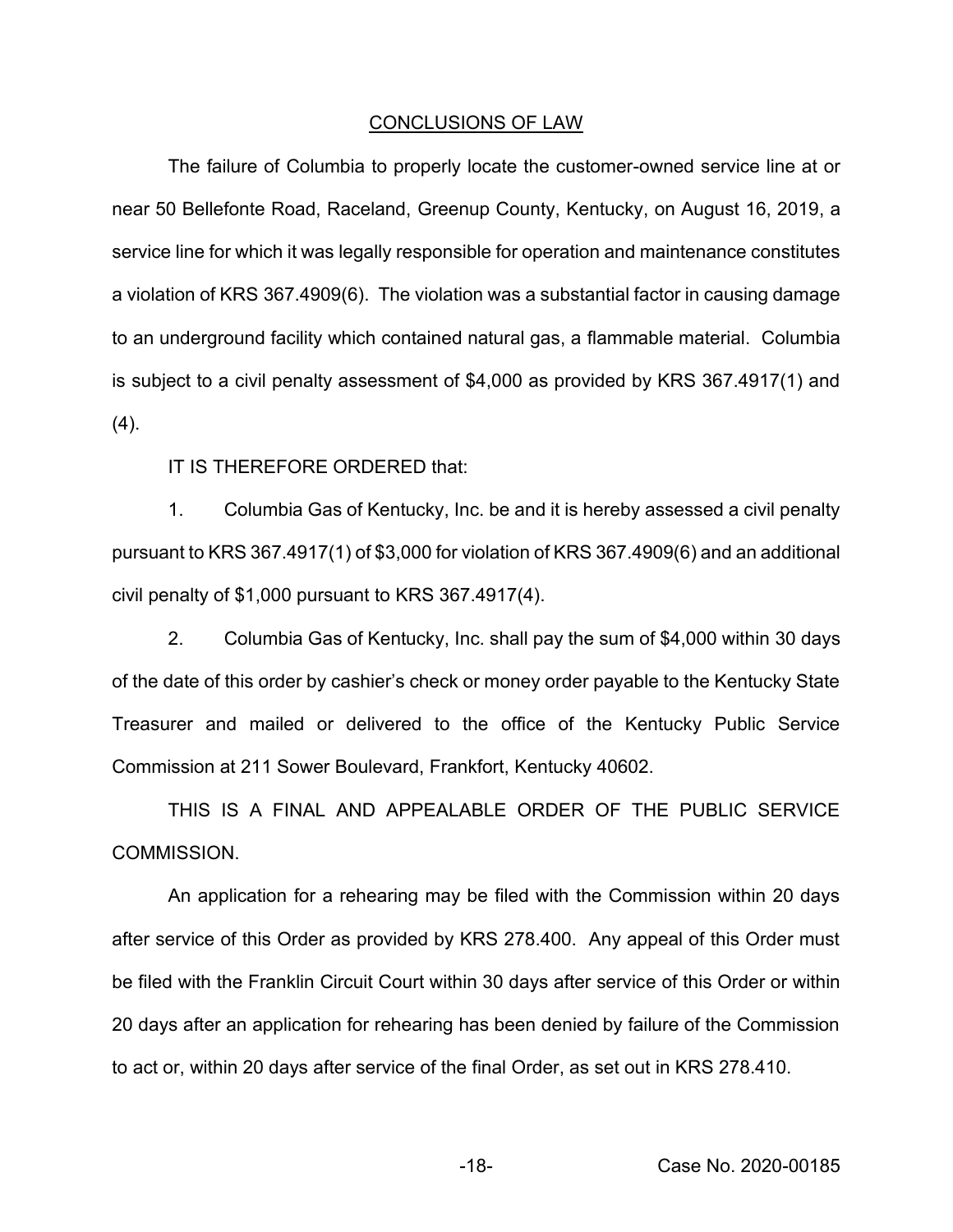#### CONCLUSIONS OF LAW

The failure of Columbia to properly locate the customer-owned service line at or near 50 Bellefonte Road, Raceland, Greenup County, Kentucky, on August 16, 2019, a service line for which it was legally responsible for operation and maintenance constitutes a violation of KRS 367.4909(6). The violation was a substantial factor in causing damage to an underground facility which contained natural gas, a flammable material. Columbia is subject to a civil penalty assessment of \$4,000 as provided by KRS 367.4917(1) and  $(4).$ 

IT IS THEREFORE ORDERED that:

1. Columbia Gas of Kentucky, Inc. be and it is hereby assessed a civil penalty pursuant to KRS 367.4917(1) of \$3,000 for violation of KRS 367.4909(6) and an additional civil penalty of \$1,000 pursuant to KRS 367.4917(4).

2. Columbia Gas of Kentucky, Inc. shall pay the sum of \$4,000 within 30 days of the date of this order by cashier's check or money order payable to the Kentucky State Treasurer and mailed or delivered to the office of the Kentucky Public Service Commission at 211 Sower Boulevard, Frankfort, Kentucky 40602.

THIS IS A FINAL AND APPEALABLE ORDER OF THE PUBLIC SERVICE COMMISSION.

An application for a rehearing may be filed with the Commission within 20 days after service of this Order as provided by KRS 278.400. Any appeal of this Order must be filed with the Franklin Circuit Court within 30 days after service of this Order or within 20 days after an application for rehearing has been denied by failure of the Commission to act or, within 20 days after service of the final Order, as set out in KRS 278.410.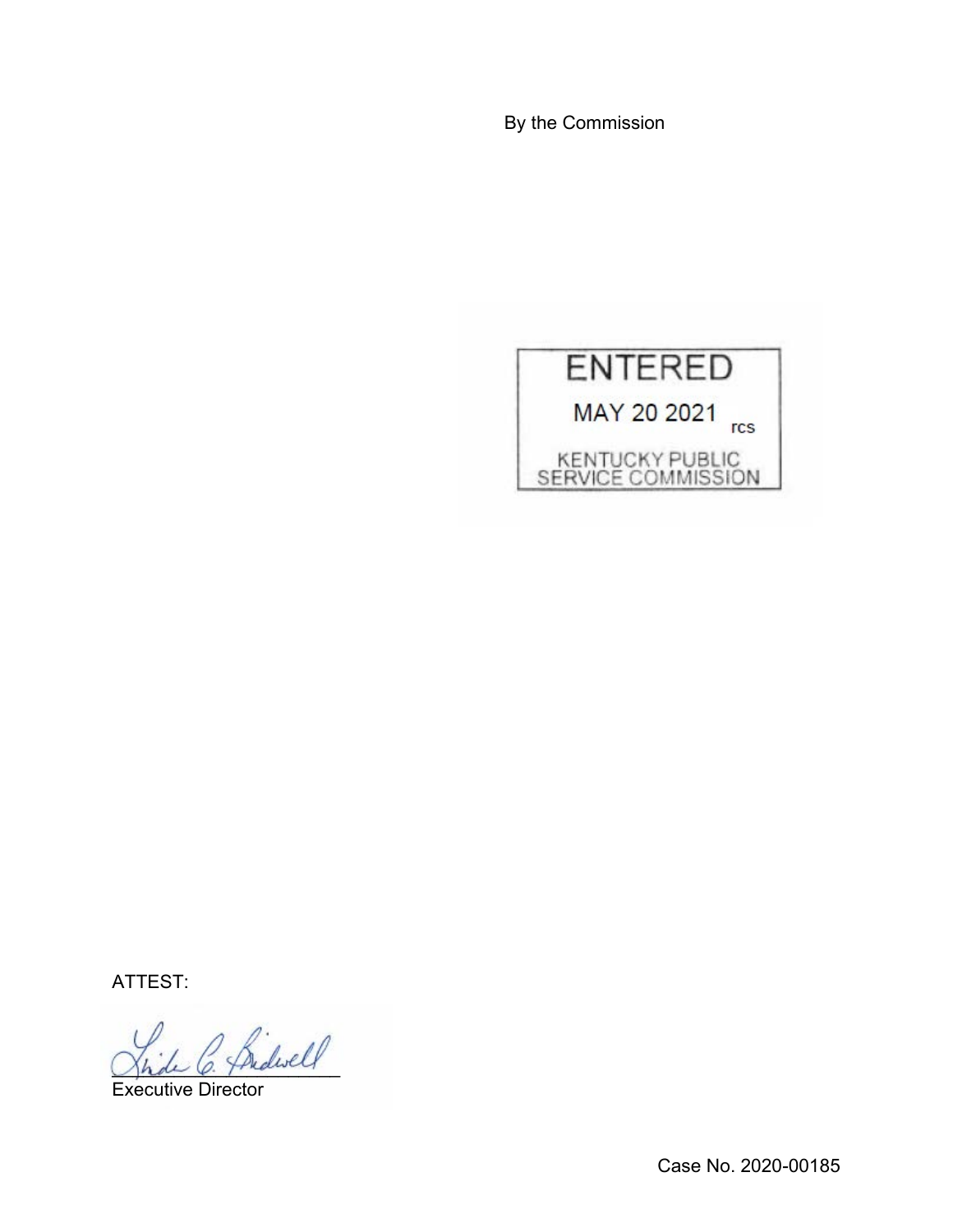By the Commission



ATTEST:

\_\_\_\_\_\_\_\_\_\_\_\_\_\_\_\_\_\_\_\_\_\_

Executive Director

Case No. 2020-00185